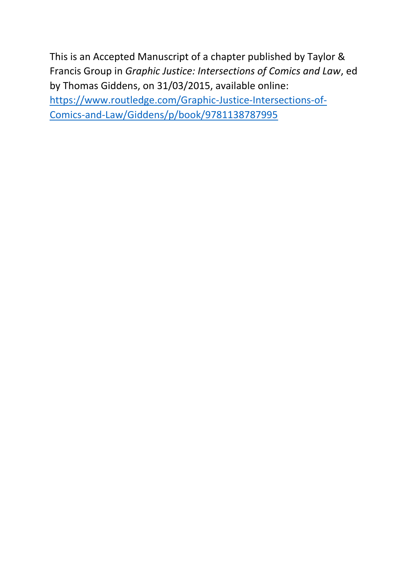This is an Accepted Manuscript of a chapter published by Taylor & Francis Group in *Graphic Justice: Intersections of Comics and Law*, ed by Thomas Giddens, on 31/03/2015, available online: [https://www.routledge.com/Graphic-Justice-Intersections-of-](https://www.routledge.com/Graphic-Justice-Intersections-of-Comics-and-Law/Giddens/p/book/9781138787995)[Comics-and-Law/Giddens/p/book/9781138787995](https://www.routledge.com/Graphic-Justice-Intersections-of-Comics-and-Law/Giddens/p/book/9781138787995)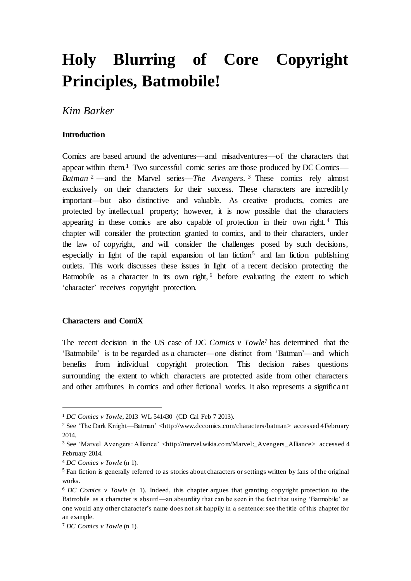# **Holy Blurring of Core Copyright Principles, Batmobile!**

*Kim Barker*

### **Introduction**

Comics are based around the adventures—and misadventures—of the characters that appear within them.<sup>1</sup> Two successful comic series are those produced by DC Comics— *Batman* <sup>2</sup> —and the Marvel series—*The Avengers*. <sup>3</sup> These comics rely almost exclusively on their characters for their success. These characters are incredibly important—but also distinctive and valuable. As creative products, comics are protected by intellectual property; however, it is now possible that the characters appearing in these comics are also capable of protection in their own right. <sup>4</sup> This chapter will consider the protection granted to comics, and to their characters, under the law of copyright, and will consider the challenges posed by such decisions, especially in light of the rapid expansion of fan fiction<sup>5</sup> and fan fiction publishing outlets. This work discusses these issues in light of a recent decision protecting the Batmobile as a character in its own right, <sup>6</sup> before evaluating the extent to which 'character' receives copyright protection.

#### **Characters and ComiX**

The recent decision in the US case of *DC Comics v Towle*<sup>7</sup> has determined that the 'Batmobile' is to be regarded as a character—one distinct from 'Batman'—and which benefits from individual copyright protection. This decision raises questions surrounding the extent to which characters are protected aside from other characters and other attributes in comics and other fictional works. It also represents a significant

<sup>1</sup> *DC Comics v Towle*, 2013 WL 541430 (CD Cal Feb 7 2013).

<sup>&</sup>lt;sup>2</sup> See 'The Dark Knight—Batman' [<http://www.dccomics.com/characters/batman>](http://www.dccomics.com/characters/batman) accessed 4 February 2014.

<sup>3</sup> See 'Marvel Avengers: Alliance' [<http://marvel.wikia.com/Marvel:\\_Avengers\\_Alliance>](http://marvel.wikia.com/Marvel:_Avengers_Alliance) accessed 4 February 2014.

<sup>4</sup> *DC Comics v Towle* (n 1).

<sup>5</sup> Fan fiction is generally referred to as stories about characters or settings written by fans of the original works.

<sup>6</sup> *DC Comics v Towle* (n 1). Indeed, this chapter argues that granting copyright protection to the Batmobile as a character is absurd—an absurdity that can be seen in the fact that using 'Batmobile' as one would any other character's name does not sit happily in a sentence: see the title of this chapter for an example.

<sup>7</sup> *DC Comics v Towle* (n 1).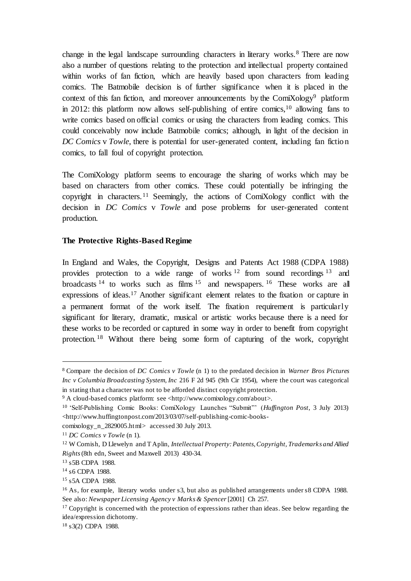change in the legal landscape surrounding characters in literary works.<sup>8</sup> There are now also a number of questions relating to the protection and intellectual property contained within works of fan fiction, which are heavily based upon characters from leading comics. The Batmobile decision is of further significance when it is placed in the context of this fan fiction, and moreover announcements by the  $ComiXology<sup>9</sup>$  platform in 2012: this platform now allows self-publishing of entire comics,  $\frac{10}{10}$  allowing fans to write comics based on official comics or using the characters from leading comics. This could conceivably now include Batmobile comics; although, in light of the decision in *DC Comics* v *Towle*, there is potential for user-generated content, including fan fiction comics, to fall foul of copyright protection.

The ComiXology platform seems to encourage the sharing of works which may be based on characters from other comics. These could potentially be infringing the copyright in characters.<sup>11</sup> Seemingly, the actions of ComiXology conflict with the decision in *DC Comics* v *Towle* and pose problems for user-generated content production.

#### **The Protective Rights-Based Regime**

In England and Wales, the Copyright, Designs and Patents Act 1988 (CDPA 1988) provides protection to a wide range of works <sup>12</sup> from sound recordings <sup>13</sup> and broadcasts  $14$  to works such as films  $15$  and newspapers.  $16$  These works are all expressions of ideas.<sup>17</sup> Another significant element relates to the fixation or capture in a permanent format of the work itself. The fixation requirement is particularly significant for literary, dramatic, musical or artistic works because there is a need for these works to be recorded or captured in some way in order to benefit from copyright protection. <sup>18</sup> Without there being some form of capturing of the work, copyright

<sup>8</sup> Compare the decision of *DC Comics v Towle* (n 1) to the predated decision in *Warner Bros Pictures Inc v Columbia Broadcasting System, Inc* 216 F 2d 945 (9th Cir 1954), where the court was categorical in stating that a character was not to be afforded distinct copyright protection.

<sup>9</sup> A cloud-based comics platform: see [<http://www.comixology.com/about>](http://www.comixology.com/about).

<sup>10</sup> 'Self-Publishing Comic Books: ComiXology Launches "Submit"' (*Huffington Post*, 3 July 2013) [<http://www.huffingtonpost.com/2013/03/07/self-publishing-comic-books-](http://www.huffingtonpost.com/2013/03/07/self-publishing-comic-books-comixology_n_2829005.html?utm_hp_ref=tw)

[comixology\\_n\\_2829005.html>](http://www.huffingtonpost.com/2013/03/07/self-publishing-comic-books-comixology_n_2829005.html?utm_hp_ref=tw) accessed 30 July 2013.

<sup>11</sup> *DC Comics v Towle* (n 1).

<sup>12</sup> W Cornish, D Llewelyn and T Aplin, *Intellectual Property: Patents, Copyright, Trademarks and Allied Rights* (8th edn, Sweet and Maxwell 2013) 430-34.

<sup>13</sup> s5B CDPA 1988.

<sup>14</sup> s6 CDPA 1988.

<sup>15</sup> s5A CDPA 1988.

<sup>&</sup>lt;sup>16</sup> As, for example, literary works under s3, but also as published arrangements under s8 CDPA 1988. See also: *Newspaper Licensing Agency v Marks & Spencer*[2001] Ch 257.

<sup>&</sup>lt;sup>17</sup> Copyright is concerned with the protection of expressions rather than ideas. See below regarding the idea/expression dichotomy.

<sup>18</sup> s3(2) CDPA 1988.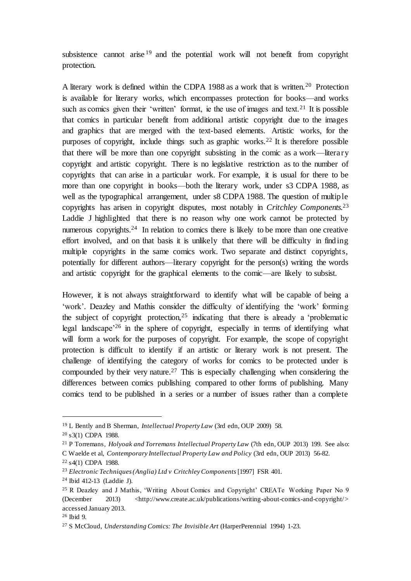subsistence cannot arise<sup>19</sup> and the potential work will not benefit from copyright protection.

A literary work is defined within the CDPA 1988 as a work that is written.<sup>20</sup> Protection is available for literary works, which encompasses protection for books—and works such as comics given their 'written' format, ie the use of images and text.<sup>21</sup> It is possible that comics in particular benefit from additional artistic copyright due to the images and graphics that are merged with the text-based elements. Artistic works, for the purposes of copyright, include things such as graphic works.<sup>22</sup> It is therefore possible that there will be more than one copyright subsisting in the comic as a work—literary copyright and artistic copyright. There is no legislative restriction as to the number of copyrights that can arise in a particular work. For example, it is usual for there to be more than one copyright in books—both the literary work, under s3 CDPA 1988, as well as the typographical arrangement, under s8 CDPA 1988. The question of multiple copyrights has arisen in copyright disputes, most notably in *Critchley Components*. 23 Laddie J highlighted that there is no reason why one work cannot be protected by numerous copyrights.<sup>24</sup> In relation to comics there is likely to be more than one creative effort involved, and on that basis it is unlikely that there will be difficulty in finding multiple copyrights in the same comics work. Two separate and distinct copyrights, potentially for different authors—literary copyright for the person(s) writing the words and artistic copyright for the graphical elements to the comic—are likely to subsist.

However, it is not always straightforward to identify what will be capable of being a 'work'. Deazley and Mathis consider the difficulty of identifying the 'work' forming the subject of copyright protection,  $25$  indicating that there is already a 'problematic legal landscape'<sup>26</sup> in the sphere of copyright, especially in terms of identifying what will form a work for the purposes of copyright. For example, the scope of copyright protection is difficult to identify if an artistic or literary work is not present. The challenge of identifying the category of works for comics to be protected under is compounded by their very nature.<sup>27</sup> This is especially challenging when considering the differences between comics publishing compared to other forms of publishing. Many comics tend to be published in a series or a number of issues rather than a complete

<sup>19</sup> L Bently and B Sherman, *Intellectual Property Law* (3rd edn, OUP 2009) 58.

<sup>20</sup> s3(1) CDPA 1988.

<sup>21</sup> P Torremans, *Holyoak and Torremans Intellectual Property Law* (7th edn, OUP 2013) 199. See also: C Waelde et al, *Contemporary Intellectual Property Law and Policy* (3rd edn, OUP 2013) 56-82.

<sup>22</sup> s4(1) CDPA 1988.

<sup>23</sup> *Electronic Techniques (Anglia) Ltd v Critchley Components* [1997] FSR 401.

<sup>24</sup> Ibid 412-13 (Laddie J).

<sup>25</sup> R Deazley and J Mathis, 'Writing About Comics and Copyright' CREATe Working Paper No 9 (December 2013) [<http://www.create.ac.uk/publications/writing-about-comics-and-copyright/>](http://www.create.ac.uk/publications/writing-about-comics-and-copyright/) accessed January 2013.

<sup>26</sup> Ibid 9.

<sup>27</sup> S McCloud, *Understanding Comics: The Invisible Art* (HarperPerennial 1994) 1-23.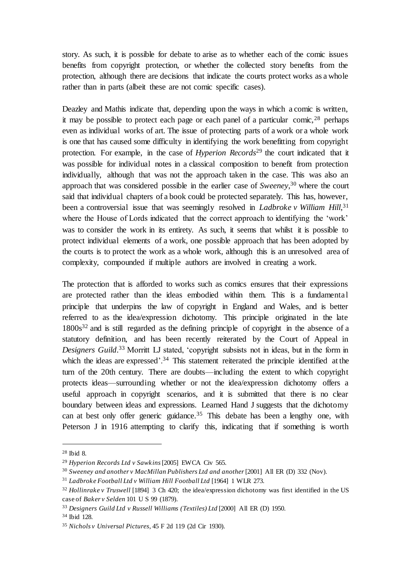story. As such, it is possible for debate to arise as to whether each of the comic issues benefits from copyright protection, or whether the collected story benefits from the protection, although there are decisions that indicate the courts protect works as a whole rather than in parts (albeit these are not comic specific cases).

Deazley and Mathis indicate that, depending upon the ways in which a comic is written, it may be possible to protect each page or each panel of a particular comic,  $28$  perhaps even as individual works of art. The issue of protecting parts of a work or a whole work is one that has caused some difficulty in identifying the work benefitting from copyright protection. For example, in the case of *Hyperion Records*<sup>29</sup> the court indicated that it was possible for individual notes in a classical composition to benefit from protection individually, although that was not the approach taken in the case. This was also an approach that was considered possible in the earlier case of *Sweeney*, <sup>30</sup> where the court said that individual chapters of a book could be protected separately. This has, however, been a controversial issue that was seemingly resolved in *Ladbroke v William Hill*,<sup>31</sup> where the House of Lords indicated that the correct approach to identifying the 'work' was to consider the work in its entirety. As such, it seems that whilst it is possible to protect individual elements of a work, one possible approach that has been adopted by the courts is to protect the work as a whole work, although this is an unresolved area of complexity, compounded if multiple authors are involved in creating a work.

The protection that is afforded to works such as comics ensures that their expressions are protected rather than the ideas embodied within them. This is a fundamental principle that underpins the law of copyright in England and Wales, and is better referred to as the idea/expression dichotomy. This principle originated in the late  $1800s<sup>32</sup>$  and is still regarded as the defining principle of copyright in the absence of a statutory definition, and has been recently reiterated by the Court of Appeal in *Designers Guild*. <sup>33</sup> Morritt LJ stated, 'copyright subsists not in ideas, but in the form in which the ideas are expressed'.<sup>34</sup> This statement reiterated the principle identified at the turn of the 20th century. There are doubts—including the extent to which copyright protects ideas—surrounding whether or not the idea/expression dichotomy offers a useful approach in copyright scenarios, and it is submitted that there is no clear boundary between ideas and expressions. Learned Hand J suggests that the dichotomy can at best only offer generic guidance.<sup>35</sup> This debate has been a lengthy one, with Peterson J in 1916 attempting to clarify this, indicating that if something is worth

<sup>28</sup> Ibid 8.

<sup>29</sup> *Hyperion Records Ltd v Sawkins*[2005] EWCA Civ 565.

<sup>30</sup> *Sweeney and another v MacMillan Publishers Ltd and another*[2001] All ER (D) 332 (Nov).

<sup>31</sup> *Ladbroke Football Ltd v William Hill Football Ltd* [1964] 1 WLR 273.

<sup>32</sup> *Hollinrake v Truswell* [1894] 3 Ch 420; the idea/expression dichotomy was first identified in the US case of *Baker v Selden* 101 U S 99 (1879).

<sup>33</sup> *Designers Guild Ltd v Russell Williams (Textiles) Ltd* [2000] All ER (D) 1950.

<sup>34</sup> Ibid 128.

<sup>35</sup> *Nichols v Universal Pictures*, 45 F 2d 119 (2d Cir 1930).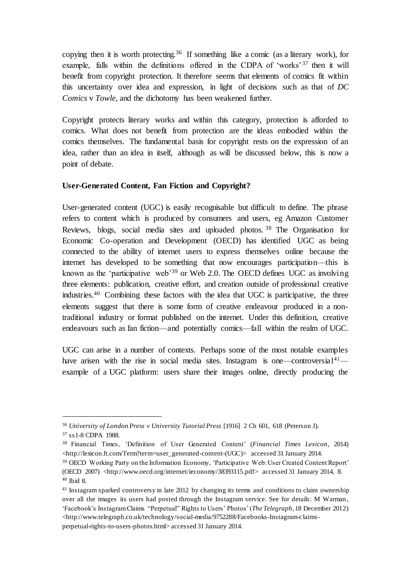copying then it is worth protecting.<sup>36</sup> If something like a comic (as a literary work), for example, falls within the definitions offered in the CDPA of 'works'<sup>37</sup> then it will benefit from copyright protection. It therefore seems that elements of comics fit within this uncertainty over idea and expression, in light of decisions such as that of *DC Comics* v *Towle*, and the dichotomy has been weakened further.

Copyright protects literary works and within this category, protection is afforded to comics. What does not benefit from protection are the ideas embodied within the comics themselves. The fundamental basis for copyright rests on the expression of an idea, rather than an idea in itself, although as will be discussed below, this is now a point of debate.

# **User-Generated Content, Fan Fiction and Copyright?**

User-generated content (UGC) is easily recognisable but difficult to define. The phrase refers to content which is produced by consumers and users, eg Amazon Customer Reviews, blogs, social media sites and uploaded photos. <sup>38</sup> The Organisation for Economic Co-operation and Development (OECD) has identified UGC as being connected to the ability of internet users to express themselves online because the internet has developed to be something that now encourages participation—this is known as the 'participative web'<sup>39</sup> or Web 2.0. The OECD defines UGC as involving three elements: publication, creative effort, and creation outside of professional creative industries.<sup>40</sup> Combining these factors with the idea that UGC is participative, the three elements suggest that there is some form of creative endeavour produced in a nontraditional industry or format published on the internet. Under this definition, creative endeavours such as fan fiction—and potentially comics—fall within the realm of UGC.

UGC can arise in a number of contexts. Perhaps some of the most notable examples have arisen with the rise in social media sites. Instagram is one—controversia  $1^{41}$  example of a UGC platform: users share their images online, directly producing the

 $\overline{a}$ 

<sup>38</sup> Financial Times, 'Definition of User Generated Content' (*Financial Times Lexicon*, 2014) [<http://lexicon.ft.com/Term?term=user\\_generated-content-\(UGC\)>](http://lexicon.ft.com/Term?term=user_generated-content-(UGC) accessed 31 January 2014. <sup>39</sup> OECD Working Party on the Information Economy, 'Participative Web: User Created Content Report' (OECD 2007) [<http://www.oecd.org/internet/ieconomy/38393115.pdf>](http://www.oecd.org/internet/ieconomy/38393115.pdf) accessed 31 January 2014, 8. <sup>40</sup> Ibid 8.

<sup>36</sup> *University of London Press v University Tutorial Press* [1916] 2 Ch 601, 618 (Peterson J).

<sup>37</sup> ss1-8 CDPA 1988.

<sup>&</sup>lt;sup>41</sup> Instagram sparked controversy in late 2012 by changing its terms and conditions to claim ownership over all the images its users had posted through the Instagram service. See for details: M Warman , 'Facebook's Instagram Claims "Perpetual" Rights to Users' Photos' (*The Telegraph*, 18 December 2012) [<http://www.telegraph.co.uk/technology/social-media/9752288/Facebooks-Instagram-claims](http://www.telegraph.co.uk/technology/social-media/9752288/Facebooks-Instagram-claims-perpetual-rights-to-users-photos.html)[perpetual-rights-to-users-photos.html>](http://www.telegraph.co.uk/technology/social-media/9752288/Facebooks-Instagram-claims-perpetual-rights-to-users-photos.html) accessed 31 January 2014.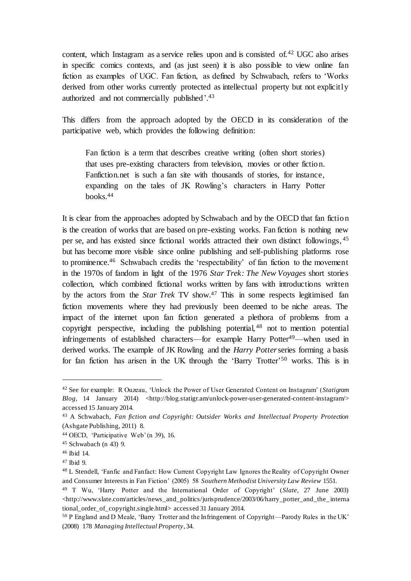content, which Instagram as a service relies upon and is consisted of.<sup>42</sup> UGC also arises in specific comics contexts, and (as just seen) it is also possible to view online fan fiction as examples of UGC. Fan fiction, as defined by Schwabach, refers to 'Works derived from other works currently protected as intellectual property but not explicitly authorized and not commercially published'. 43

This differs from the approach adopted by the OECD in its consideration of the participative web, which provides the following definition:

Fan fiction is a term that describes creative writing (often short stories) that uses pre-existing characters from television, movies or other fiction. Fanfiction.net is such a fan site with thousands of stories, for instance, expanding on the tales of JK Rowling's characters in Harry Potter books.<sup>44</sup>

It is clear from the approaches adopted by Schwabach and by the OECD that fan fiction is the creation of works that are based on pre-existing works. Fan fiction is nothing new per se, and has existed since fictional worlds attracted their own distinct followings, <sup>45</sup> but has become more visible since online publishing and self-publishing platforms rose to prominence.<sup>46</sup> Schwabach credits the 'respectability' of fan fiction to the movement in the 1970s of fandom in light of the 1976 *Star Trek: The New Voyages* short stories collection, which combined fictional works written by fans with introductions written by the actors from the *Star Trek* TV show.<sup>47</sup> This in some respects legitimised fan fiction movements where they had previously been deemed to be niche areas. The impact of the internet upon fan fiction generated a plethora of problems from a copyright perspective, including the publishing potential, <sup>48</sup> not to mention potential infringements of established characters—for example Harry Potter<sup>49</sup>—when used in derived works. The example of JK Rowling and the *Harry Potter*series forming a basis for fan fiction has arisen in the UK through the 'Barry Trotter'<sup>50</sup> works. This is in

<sup>42</sup> See for example: R Ouzeau, 'Unlock the Power of User Generated Content on Instagram' (*Statigram Blog*, 14 January 2014) [<http://blog.statigr.am/unlock-power-user-generated-content-instagram/>](http://blog.statigr.am/unlock-power-user-generated-content-instagram/) accessed 15 January 2014.

<sup>43</sup> A Schwabach, *Fan fiction and Copyright: Outsider Works and Intellectual Property Protection* (Ashgate Publishing, 2011) 8.

<sup>44</sup> OECD, 'Participative Web' (n 39), 16.

<sup>45</sup> Schwabach (n 43) 9.

<sup>46</sup> Ibid 14.

<sup>47</sup> Ibid 9.

<sup>48</sup> L Stendell, 'Fanfic and Fanfact: How Current Copyright Law Ignores the Reality of Copyright Owner and Consumer Interests in Fan Fiction' (2005) 58 *Southern Methodist University Law Review* 1551.

<sup>49</sup> T Wu, 'Harry Potter and the International Order of Copyright' (*Slate*, 27 June 2003) [<http://www.slate.com/articles/news\\_and\\_politics/jurisprudence/2003/06/harry\\_potter\\_and\\_the\\_](http://www.slate.com/articles/news_and_politics/jurisprudence/2003/06/harry_potter_and_the_international_order_of_copyright.single.html) interna [tional\\_order\\_of\\_copyright.single.html>](http://www.slate.com/articles/news_and_politics/jurisprudence/2003/06/harry_potter_and_the_international_order_of_copyright.single.html) accessed 31 January 2014.

<sup>50</sup> P England and D Meale, 'Barry Trotter and the Infringement of Copyright—Parody Rules in the UK' (2008) 178 *Managing Intellectual Property*, 34.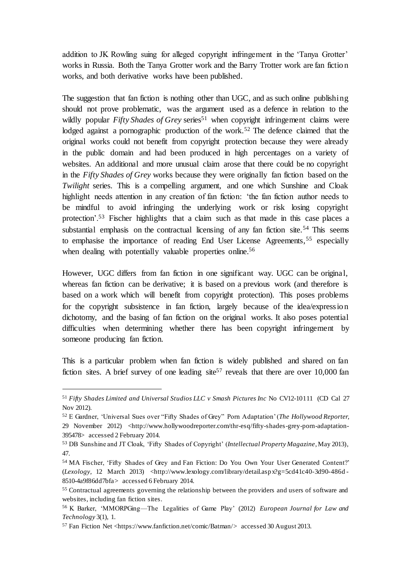addition to JK Rowling suing for alleged copyright infringement in the 'Tanya Grotter' works in Russia. Both the Tanya Grotter work and the Barry Trotter work are fan fiction works, and both derivative works have been published.

The suggestion that fan fiction is nothing other than UGC, and as such online publishing should not prove problematic, was the argument used as a defence in relation to the wildly popular *Fifty Shades of Grey* series<sup>51</sup> when copyright infringement claims were lodged against a pornographic production of the work.<sup>52</sup> The defence claimed that the original works could not benefit from copyright protection because they were already in the public domain and had been produced in high percentages on a variety of websites. An additional and more unusual claim arose that there could be no copyright in the *Fifty Shades of Grey* works because they were originally fan fiction based on the *Twilight* series. This is a compelling argument, and one which Sunshine and Cloak highlight needs attention in any creation of fan fiction: 'the fan fiction author needs to be mindful to avoid infringing the underlying work or risk losing copyright protection'.<sup>53</sup> Fischer highlights that a claim such as that made in this case places a substantial emphasis on the contractual licensing of any fan fiction site.<sup>54</sup> This seems to emphasise the importance of reading End User License Agreements,  $55$  especially when dealing with potentially valuable properties online.<sup>56</sup>

However, UGC differs from fan fiction in one significant way. UGC can be original, whereas fan fiction can be derivative; it is based on a previous work (and therefore is based on a work which will benefit from copyright protection). This poses problems for the copyright subsistence in fan fiction, largely because of the idea/expression dichotomy, and the basing of fan fiction on the original works. It also poses potential difficulties when determining whether there has been copyright infringement by someone producing fan fiction.

This is a particular problem when fan fiction is widely published and shared on fan fiction sites. A brief survey of one leading site<sup>57</sup> reveals that there are over 10,000 fan

<sup>51</sup> *Fifty Shades Limited and Universal Studios LLC v Smash Pictures Inc* No CV12-10111 (CD Cal 27 Nov 2012).

<sup>52</sup> E Gardner, 'Universal Sues over "Fifty Shades of Grey" Porn Adaptation' (*The Hollywood Reporter,* 29 November 2012) [<http://www.hollywoodreporter.com/thr-esq/fifty-shades-grey-porn-adaptation-](http://www.hollywoodreporter.com/thr-esq/fifty-shades-grey-porn-adaptation-395478)[395478>](http://www.hollywoodreporter.com/thr-esq/fifty-shades-grey-porn-adaptation-395478) accessed 2 February 2014.

<sup>53</sup> DB Sunshine and JT Cloak, 'Fifty Shades of Copyright' (*Intellectual Property Magazine*, May 2013), 47.

<sup>54</sup> MA Fischer, 'Fifty Shades of Grey and Fan Fiction: Do You Own Your User Generated Content?' (*Lexology*, 12 March 2013) [<http://www.lexology.com/library/detail.aspx?g=5cd41c40-3d90-486d](http://www.lexology.com/library/detail.aspx?g=5cd41c40-3d90-486d-8510-4a9f86dd7bfa) -[8510-4a9f86dd7bfa>](http://www.lexology.com/library/detail.aspx?g=5cd41c40-3d90-486d-8510-4a9f86dd7bfa) accessed 6 February 2014.

<sup>55</sup> Contractual agreements governing the relationship between the providers and users of software and websites, including fan fiction sites.

<sup>56</sup> K Barker, 'MMORPGing—The Legalities of Game Play' (2012) *European Journal for Law and Technology* 3(1), 1.

<sup>57</sup> Fan Fiction Net [<https://www.fanfiction.net/comic/Batman/>](https://www.fanfiction.net/comic/Batman/) accessed 30 August 2013.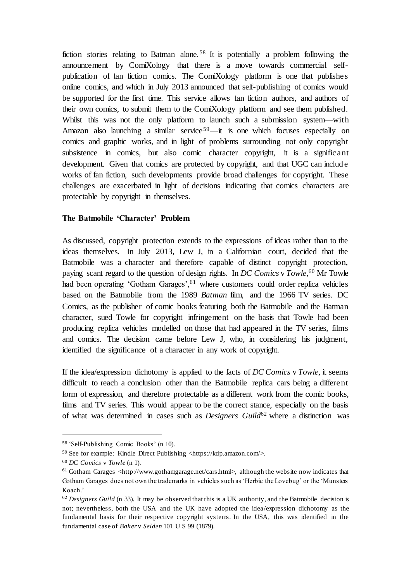fiction stories relating to Batman alone.<sup>58</sup> It is potentially a problem following the announcement by ComiXology that there is a move towards commercial selfpublication of fan fiction comics. The ComiXology platform is one that publishes online comics, and which in July 2013 announced that self-publishing of comics would be supported for the first time. This service allows fan fiction authors, and authors of their own comics, to submit them to the ComiXology platform and see them published. Whilst this was not the only platform to launch such a submission system—with Amazon also launching a similar service  $59$ —it is one which focuses especially on comics and graphic works, and in light of problems surrounding not only copyright subsistence in comics, but also comic character copyright, it is a signific ant development. Given that comics are protected by copyright, and that UGC can include works of fan fiction, such developments provide broad challenges for copyright. These challenges are exacerbated in light of decisions indicating that comics characters are protectable by copyright in themselves.

## **The Batmobile 'Character' Problem**

As discussed, copyright protection extends to the expressions of ideas rather than to the ideas themselves. In July 2013, Lew J, in a Californian court, decided that the Batmobile was a character and therefore capable of distinct copyright protection, paying scant regard to the question of design rights. In *DC Comics* v *Towle*, <sup>60</sup> Mr Towle had been operating 'Gotham Garages', <sup>61</sup> where customers could order replica vehicles based on the Batmobile from the 1989 *Batman* film, and the 1966 TV series. DC Comics, as the publisher of comic books featuring both the Batmobile and the Batman character, sued Towle for copyright infringement on the basis that Towle had been producing replica vehicles modelled on those that had appeared in the TV series, films and comics. The decision came before Lew J, who, in considering his judgment, identified the significance of a character in any work of copyright.

If the idea/expression dichotomy is applied to the facts of *DC Comics* v *Towle*, it seems difficult to reach a conclusion other than the Batmobile replica cars being a different form of expression, and therefore protectable as a different work from the comic books, films and TV series. This would appear to be the correct stance, especially on the basis of what was determined in cases such as *Designers Guild*<sup>62</sup> where a distinction was

<sup>58</sup> 'Self-Publishing Comic Books' (n 10).

<sup>59</sup> See for example: Kindle Direct Publishing [<https://kdp.amazon.com/>](https://kdp.amazon.com/).

<sup>60</sup> *DC Comics* v *Towle* (n 1).

<sup>&</sup>lt;sup>61</sup> Gotham Garages [<http://www.gothamgarage.net/cars.html>](http://www.gothamgarage.net/cars.html), although the website now indicates that Gotham Garages does not own the trademarks in vehicles such as 'Herbie the Lovebug' or the 'Munsters Koach.'

<sup>&</sup>lt;sup>62</sup> *Designers Guild* (n 33). It may be observed that this is a UK authority, and the Batmobile decision is not; nevertheless, both the USA and the UK have adopted the idea/expression dichotomy as the fundamental basis for their respective copyright systems. In the USA, this was identified in the fundamental case of *Baker* v *Selden* 101 U S 99 (1879).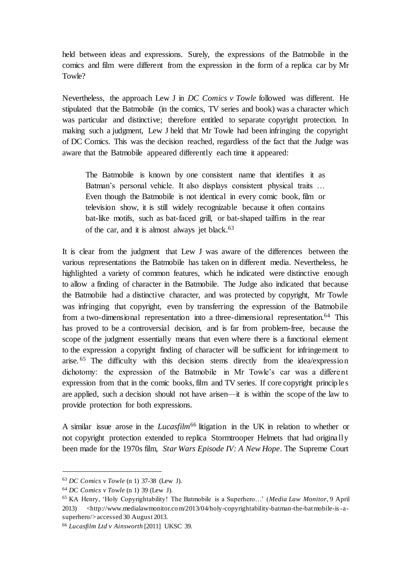held between ideas and expressions. Surely, the expressions of the Batmobile in the comics and film were different from the expression in the form of a replica car by Mr Towle?

Nevertheless, the approach Lew J in *DC Comics v Towle* followed was different. He stipulated that the Batmobile (in the comics, TV series and book) was a character which was particular and distinctive; therefore entitled to separate copyright protection. In making such a judgment, Lew J held that Mr Towle had been infringing the copyright of DC Comics. This was the decision reached, regardless of the fact that the Judge was aware that the Batmobile appeared differently each time it appeared:

The Batmobile is known by one consistent name that identifies it as Batman's personal vehicle. It also displays consistent physical traits … Even though the Batmobile is not identical in every comic book, film or television show, it is still widely recognizable because it often contains bat-like motifs, such as bat-faced grill, or bat-shaped tailfins in the rear of the car, and it is almost always jet black.<sup>63</sup>

It is clear from the judgment that Lew J was aware of the differences between the various representations the Batmobile has taken on in different media. Nevertheless, he highlighted a variety of common features, which he indicated were distinctive enough to allow a finding of character in the Batmobile. The Judge also indicated that because the Batmobile had a distinctive character, and was protected by copyright, Mr Towle was infringing that copyright, even by transferring the expression of the Batmobile from a two-dimensional representation into a three-dimensional representation.<sup>64</sup> This has proved to be a controversial decision, and is far from problem-free, because the scope of the judgment essentially means that even where there is a functional element to the expression a copyright finding of character will be sufficient for infringement to arise. <sup>65</sup> The difficulty with this decision stems directly from the idea/expression dichotomy: the expression of the Batmobile in Mr Towle's car was a different expression from that in the comic books, film and TV series. If core copyright principles are applied, such a decision should not have arisen—it is within the scope of the law to provide protection for both expressions.

A similar issue arose in the *Lucasfilm*<sup>66</sup> litigation in the UK in relation to whether or not copyright protection extended to replica Stormtrooper Helmets that had originally been made for the 1970s film, *Star Wars Episode IV: A New Hope*. The Supreme Court

<sup>63</sup> *DC Comics v Towle* (n 1) 37-38 (Lew J).

<sup>64</sup> *DC Comics v Towle* (n 1) 39 (Lew J).

<sup>65</sup> KA Henry, 'Holy Copyrightability! The Batmobile is a Superhero…' (*Media Law Monitor*, 9 April 2013) [<http://www.medialawmonitor.com/2013/04/holy-copyrightability-batman-the-batmobile-is-a](http://www.medialawmonitor.com/2013/04/holy-copyrightability-batman-the-batmobile-is-a-superhero/)[superhero/>](http://www.medialawmonitor.com/2013/04/holy-copyrightability-batman-the-batmobile-is-a-superhero/) accessed 30 August 2013.

<sup>66</sup> *Lucasfilm Ltd v Ainsworth* [2011] UKSC 39.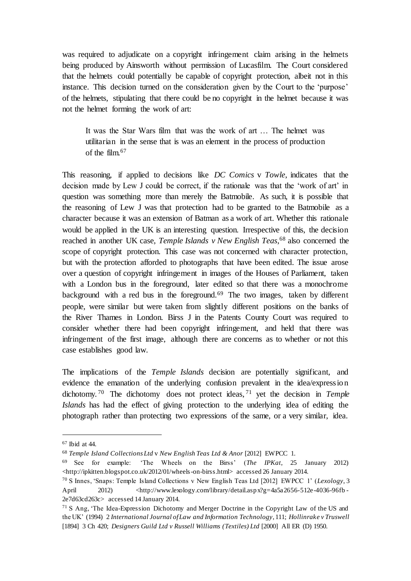was required to adjudicate on a copyright infringement claim arising in the helmets being produced by Ainsworth without permission of Lucasfilm. The Court considered that the helmets could potentially be capable of copyright protection, albeit not in this instance. This decision turned on the consideration given by the Court to the 'purpose' of the helmets, stipulating that there could be no copyright in the helmet because it was not the helmet forming the work of art:

It was the Star Wars film that was the work of art … The helmet was utilitarian in the sense that is was an element in the process of production of the film.<sup>67</sup>

This reasoning, if applied to decisions like *DC Comics* v *Towle*, indicates that the decision made by Lew J could be correct, if the rationale was that the 'work of art' in question was something more than merely the Batmobile*.* As such, it is possible that the reasoning of Lew J was that protection had to be granted to the Batmobile as a character because it was an extension of Batman as a work of art*.* Whether this rationale would be applied in the UK is an interesting question. Irrespective of this, the decision reached in another UK case, *Temple Islands v New English Teas*, <sup>68</sup> also concerned the scope of copyright protection. This case was not concerned with character protection, but with the protection afforded to photographs that have been edited. The issue arose over a question of copyright infringement in images of the Houses of Parliament, taken with a London bus in the foreground, later edited so that there was a monochrome background with a red bus in the foreground.<sup>69</sup> The two images, taken by different people, were similar but were taken from slightly different positions on the banks of the River Thames in London. Birss J in the Patents County Court was required to consider whether there had been copyright infringement, and held that there was infringement of the first image, although there are concerns as to whether or not this case establishes good law.

The implications of the *Temple Islands* decision are potentially significant, and evidence the emanation of the underlying confusion prevalent in the idea/expression dichotomy. <sup>70</sup> The dichotomy does not protect ideas, <sup>71</sup> yet the decision in *Temple Islands* has had the effect of giving protection to the underlying idea of editing the photograph rather than protecting two expressions of the same, or a very similar, idea.

<sup>67</sup> Ibid at 44.

<sup>68</sup> *Temple Island Collections Ltd* v *New English Teas Ltd & Anor* [2012] EWPCC 1.

<sup>69</sup> See for example: 'The Wheels on the Birss' (*The IPKat*, 25 January 2012) [<http://ipkitten.blogspot.co.uk/2012/01/wheels-on-birss.html>](http://ipkitten.blogspot.co.uk/2012/01/wheels-on-birss.html) accessed 26 January 2014.

<sup>70</sup> S Innes, 'Snaps: Temple Island Collections v New English Teas Ltd [2012] EWPCC 1' (*Lexology*, 3 April 2012)  $\langle$ http://www.lexology.com/library/detail.aspx?g=4a5a2656-512e-4036-96fb -[2e7d63cd263c>](http://www.lexology.com/library/detail.aspx?g=4a5a2656-512e-4036-96fb-2e7d63cd263c) accessed 14 January 2014.

<sup>71</sup> S Ang, 'The Idea-Expression Dichotomy and Merger Doctrine in the Copyright Law of the US and the UK' (1994) 2 *International Journal of Law and Information Technology*, 111; *Hollinrake v Truswell* [1894] 3 Ch 420; *Designers Guild Ltd v Russell Williams (Textiles) Ltd* [2000] All ER (D) 1950.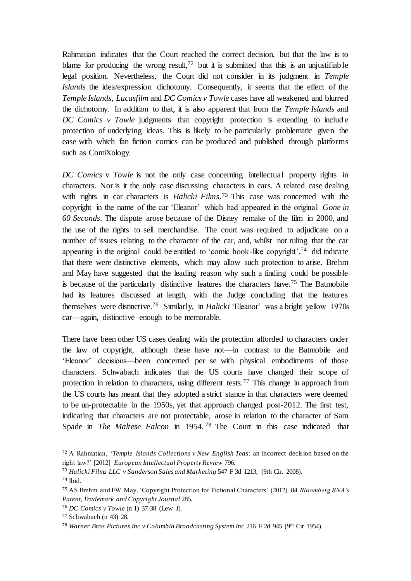Rahmatian indicates that the Court reached the correct decision, but that the law is to blame for producing the wrong result,<sup>72</sup> but it is submitted that this is an unjustifiable legal position. Nevertheless, the Court did not consider in its judgment in *Temple Islands* the idea/expression dichotomy. Consequently, it seems that the effect of the *Temple Islands, Lucasfilm* and *DC Comics v Towle* cases have all weakened and blurred the dichotomy. In addition to that, it is also apparent that from the *Temple Islands* and *DC Comics v Towle* judgments that copyright protection is extending to include protection of underlying ideas. This is likely to be particularly problematic given the ease with which fan fiction comics can be produced and published through platforms such as ComiXology.

*DC Comics* v *Towle* is not the only case concerning intellectual property rights in characters. Nor is it the only case discussing characters in cars. A related case dealing with rights in car characters is *Halicki Films*. <sup>73</sup> This case was concerned with the copyright in the name of the car 'Eleanor' which had appeared in the original *Gone in 60 Seconds*. The dispute arose because of the Disney remake of the film in 2000, and the use of the rights to sell merchandise. The court was required to adjudicate on a number of issues relating to the character of the car, and, whilst not ruling that the car appearing in the original could be entitled to 'comic book-like copyright', $74$  did indicate that there were distinctive elements, which may allow such protection to arise. Brehm and May have suggested that the leading reason why such a finding could be possible is because of the particularly distinctive features the characters have.<sup>75</sup> The Batmobile had its features discussed at length, with the Judge concluding that the features themselves were distinctive.<sup>76</sup> Similarly, in *Halicki* 'Eleanor' was a bright yellow 1970s car—again, distinctive enough to be memorable.

There have been other US cases dealing with the protection afforded to characters under the law of copyright, although these have not—in contrast to the Batmobile and 'Eleanor' decisions—been concerned per se with physical embodiments of those characters. Schwabach indicates that the US courts have changed their scope of protection in relation to characters, using different tests.<sup>77</sup> This change in approach from the US courts has meant that they adopted a strict stance in that characters were deemed to be un-protectable in the 1950s, yet that approach changed post-2012. The first test, indicating that characters are not protectable, arose in relation to the character of Sam Spade in *The Maltese Falcon* in 1954. <sup>78</sup> The Court in this case indicated that

 $\overline{a}$ 

<sup>76</sup> *DC Comics v Towle* (n 1) 37-38 (Lew J).

<sup>72</sup> A Rahmatian, '*Temple Islands Collections v New English Teas*: an incorrect decision based on the right law?' [2012] *European Intellectual Property Review* 796.

<sup>73</sup> *Halicki Films LLC v Sanderson Sales and Marketing* 547 F 3d 1213, (9th Cir. 2008).

<sup>74</sup> Ibid.

<sup>75</sup> AS Brehm and EW May, 'Copyright Protection for Fictional Characters' (2012) 84 *Bloomberg BNA's Patent, Trademark and Copyright Journal* 285.

<sup>77</sup> Schwabach (n 43) 28.

<sup>78</sup> *Warner Bros Pictures Inc v Columbia Broadcasting System Inc* 216 F 2d 945 (9th Cir 1954).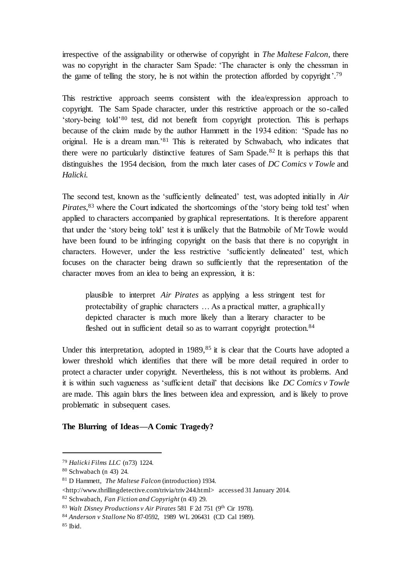irrespective of the assignability or otherwise of copyright in *The Maltese Falcon*, there was no copyright in the character Sam Spade: 'The character is only the chessman in the game of telling the story, he is not within the protection afforded by copyright'.<sup>79</sup>

This restrictive approach seems consistent with the idea/expression approach to copyright. The Sam Spade character, under this restrictive approach or the so-called 'story-being told'<sup>80</sup> test, did not benefit from copyright protection. This is perhaps because of the claim made by the author Hammett in the 1934 edition: 'Spade has no original. He is a dream man.'<sup>81</sup> This is reiterated by Schwabach, who indicates that there were no particularly distinctive features of Sam Spade.<sup>82</sup> It is perhaps this that distinguishes the 1954 decision, from the much later cases of *DC Comics v Towle* and *Halicki.*

The second test, known as the 'sufficiently delineated' test, was adopted initially in *Air*  Pirates,<sup>83</sup> where the Court indicated the shortcomings of the 'story being told test' when applied to characters accompanied by graphical representations. It is therefore apparent that under the 'story being told' test it is unlikely that the Batmobile of Mr Towle would have been found to be infringing copyright on the basis that there is no copyright in characters. However, under the less restrictive 'sufficiently delineated' test, which focuses on the character being drawn so sufficiently that the representation of the character moves from an idea to being an expression, it is:

plausible to interpret *Air Pirates* as applying a less stringent test for protectability of graphic characters … As a practical matter, a graphically depicted character is much more likely than a literary character to be fleshed out in sufficient detail so as to warrant copyright protection.<sup>84</sup>

Under this interpretation, adopted in  $1989$ ,  $85$  it is clear that the Courts have adopted a lower threshold which identifies that there will be more detail required in order to protect a character under copyright. Nevertheless, this is not without its problems. And it is within such vagueness as 'sufficient detail' that decisions like *DC Comics v Towle* are made. This again blurs the lines between idea and expression, and is likely to prove problematic in subsequent cases.

# **The Blurring of Ideas—A Comic Tragedy?**

<sup>79</sup> *Halicki Films LLC* (n73) 1224.

<sup>80</sup> Schwabach (n 43) 24.

<sup>81</sup> D Hammett, *The Maltese Falcon* (introduction) 1934.

[<sup>&</sup>lt;http://www.thrillingdetective.com/trivia/triv244.html>](http://www.thrillingdetective.com/trivia/triv244.html) accessed 31 January 2014.

<sup>82</sup> Schwabach, *Fan Fiction and Copyright* (n 43) 29.

<sup>83</sup> *Walt Disney Productions v Air Pirates* 581 F 2d 751 (9th Cir 1978).

<sup>84</sup> *Anderson v Stallone* No 87-0592, 1989 WL 206431 (CD Cal 1989).

<sup>85</sup> Ibid.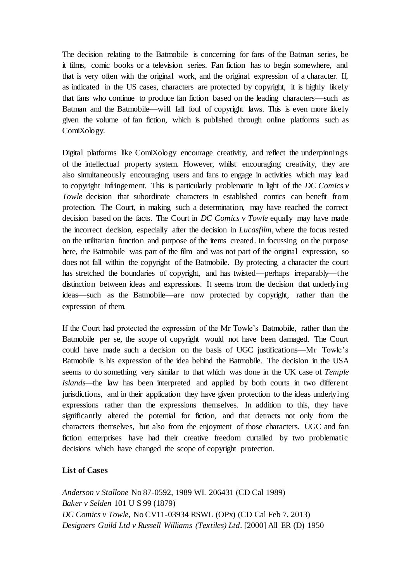The decision relating to the Batmobile is concerning for fans of the Batman series, be it films, comic books or a television series. Fan fiction has to begin somewhere, and that is very often with the original work, and the original expression of a character. If, as indicated in the US cases, characters are protected by copyright, it is highly likely that fans who continue to produce fan fiction based on the leading characters—such as Batman and the Batmobile—will fall foul of copyright laws. This is even more likely given the volume of fan fiction, which is published through online platforms such as ComiXology.

Digital platforms like ComiXology encourage creativity, and reflect the underpinnings of the intellectual property system. However, whilst encouraging creativity, they are also simultaneously encouraging users and fans to engage in activities which may lead to copyright infringement. This is particularly problematic in light of the *DC Comics v Towle* decision that subordinate characters in established comics can benefit from protection. The Court, in making such a determination, may have reached the correct decision based on the facts. The Court in *DC Comics* v *Towle* equally may have made the incorrect decision, especially after the decision in *Lucasfilm*, where the focus rested on the utilitarian function and purpose of the items created. In focussing on the purpose here, the Batmobile was part of the film and was not part of the original expression, so does not fall within the copyright of the Batmobile. By protecting a character the court has stretched the boundaries of copyright, and has twisted—perhaps irreparably—the distinction between ideas and expressions. It seems from the decision that underlying ideas—such as the Batmobile—are now protected by copyright, rather than the expression of them.

If the Court had protected the expression of the Mr Towle's Batmobile, rather than the Batmobile per se, the scope of copyright would not have been damaged. The Court could have made such a decision on the basis of UGC justifications—Mr Towle's Batmobile is his expression of the idea behind the Batmobile. The decision in the USA seems to do something very similar to that which was done in the UK case of *Temple Islands—*the law has been interpreted and applied by both courts in two different jurisdictions, and in their application they have given protection to the ideas underlying expressions rather than the expressions themselves. In addition to this, they have significantly altered the potential for fiction, and that detracts not only from the characters themselves, but also from the enjoyment of those characters. UGC and fan fiction enterprises have had their creative freedom curtailed by two problematic decisions which have changed the scope of copyright protection.

# **List of Cases**

*Anderson v Stallone* No 87-0592, 1989 WL 206431 (CD Cal 1989) *Baker v Selden* 101 U S 99 (1879) *DC Comics v Towle*, No CV11-03934 RSWL (OPx) (CD Cal Feb 7, 2013) *Designers Guild Ltd v Russell Williams (Textiles) Ltd*. [2000] All ER (D) 1950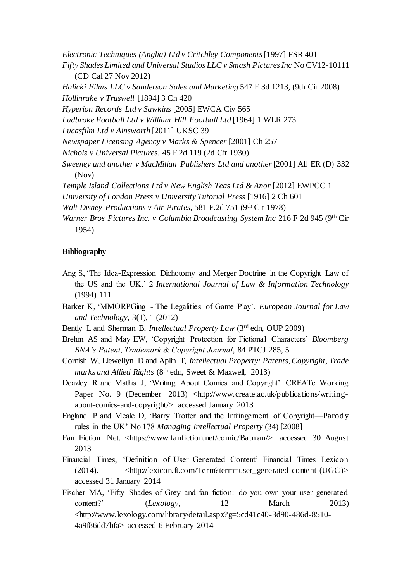*Electronic Techniques (Anglia) Ltd v Critchley Components* [1997] FSR 401 *Fifty Shades Limited and Universal Studios LLC v Smash Pictures Inc* No CV12-10111 (CD Cal 27 Nov 2012) *Halicki Films LLC v Sanderson Sales and Marketing* 547 F 3d 1213, (9th Cir 2008) *Hollinrake v Truswell* [1894] 3 Ch 420 *Hyperion Records Ltd v Sawkins* [2005] EWCA Civ 565 *Ladbroke Football Ltd v William Hill Football Ltd* [1964] 1 WLR 273 *Lucasfilm Ltd v Ainsworth* [2011] UKSC 39 *Newspaper Licensing Agency v Marks & Spencer* [2001] Ch 257 *Nichols v Universal Pictures*, 45 F 2d 119 (2d Cir 1930) *Sweeney and another v MacMillan Publishers Ltd and another*[2001] All ER (D) 332 (Nov) *Temple Island Collections Ltd v New English Teas Ltd & Anor* [2012] EWPCC 1 *University of London Press v University Tutorial Press* [1916] 2 Ch 601 *Walt Disney Productions v Air Pirates, 581 F.2d 751 (9<sup>th</sup> Cir 1978) Warner Bros Pictures Inc. v Columbia Broadcasting System Inc* 216 F 2d 945 (9th Cir 1954)

#### **Bibliography**

- Ang S, 'The Idea-Expression Dichotomy and Merger Doctrine in the Copyright Law of the US and the UK.' 2 *International Journal of Law & Information Technology* (1994) 111
- Barker K, 'MMORPGing The Legalities of Game Play'. *European Journal for Law and Technology*, 3(1), 1 (2012)
- Bently L and Sherman B, *Intellectual Property Law* (3<sup>rd</sup> edn, OUP 2009)
- Brehm AS and May EW, 'Copyright Protection for Fictional Characters' *Bloomberg BNA's Patent, Trademark & Copyright Journal*, 84 PTCJ 285, 5
- Cornish W, Llewellyn D and Aplin T, *Intellectual Property: Patents, Copyright, Trade marks and Allied Rights* (8th edn, Sweet & Maxwell, 2013)
- Deazley R and Mathis J, 'Writing About Comics and Copyright' CREATe Working Paper No. 9 (December 2013) [<http://www.create.ac.uk/publications/writing](http://www.create.ac.uk/publications/writing-about-comics-and-copyright/)[about-comics-and-copyright/>](http://www.create.ac.uk/publications/writing-about-comics-and-copyright/) accessed January 2013
- England P and Meale D, 'Barry Trotter and the Infringement of Copyright—Parody rules in the UK' No 178 *Managing Intellectual Property* (34) [2008]
- Fan Fiction Net. [<https://www.fanfiction.net/comic/Batman/>](https://www.fanfiction.net/comic/Batman/) accessed 30 August 2013
- Financial Times, 'Definition of User Generated Content' Financial Times Lexicon  $(2014)$ .  $\langle$ http://lexicon.ft.com/Term?term=user\_generated-content-(UGC)> accessed 31 January 2014
- Fischer MA, 'Fifty Shades of Grey and fan fiction: do you own your user generated content?' (*Lexology*, 12 March 2013) [<http://www.lexology.com/library/detail.aspx?g=5cd41c40-3d90-486d-8510-](http://www.lexology.com/library/detail.aspx?g=5cd41c40-3d90-486d-8510-4a9f86dd7bfa) [4a9f86dd7bfa>](http://www.lexology.com/library/detail.aspx?g=5cd41c40-3d90-486d-8510-4a9f86dd7bfa) accessed 6 February 2014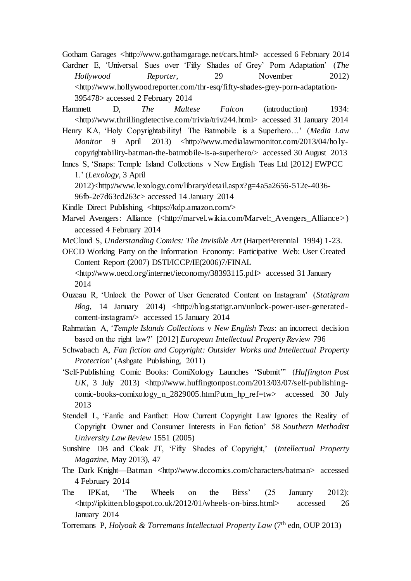Gotham Garages [<http://www.gothamgarage.net/cars.html>](http://www.gothamgarage.net/cars.html) accessed 6 February 2014

- Gardner E, 'Universal Sues over 'Fifty Shades of Grey' Porn Adaptation' (*The Hollywood Reporter*, 29 November 2012) [<http://www.hollywoodreporter.com/thr-esq/fifty-shades-grey-porn-adaptation-](http://www.hollywoodreporter.com/thr-esq/fifty-shades-grey-porn-adaptation-395478)[395478>](http://www.hollywoodreporter.com/thr-esq/fifty-shades-grey-porn-adaptation-395478) accessed 2 February 2014
- Hammett D, *The Maltese Falcon* (introduction) 1934: [<http://www.thrillingdetective.com/trivia/triv244.html>](http://www.thrillingdetective.com/trivia/triv244.html) accessed 31 January 2014
- Henry KA, 'Holy Copyrightability! The Batmobile is a Superhero…' (*Media Law Monitor* 9 April 2013) [<http://www.medialawmonitor.com/2013/04/holy](http://www.medialawmonitor.com/2013/04/holy-copyrightability-batman-the-batmobile-is-a-superhero/)[copyrightability-batman-the-batmobile-is-a-superhero/>](http://www.medialawmonitor.com/2013/04/holy-copyrightability-batman-the-batmobile-is-a-superhero/) accessed 30 August 2013

Innes S, 'Snaps: Temple Island Collections v New English Teas Ltd [2012] EWPCC 1.' (*Lexology*, 3 April

2012)[<http://www.lexology.com/library/detail.aspx?g=4a5a2656-512e-4036-](http://www.lexology.com/library/detail.aspx?g=4a5a2656-512e-4036-96fb-2e7d63cd263c) [96fb-2e7d63cd263c>](http://www.lexology.com/library/detail.aspx?g=4a5a2656-512e-4036-96fb-2e7d63cd263c) accessed 14 January 2014

Kindle Direct Publishing [<https://kdp.amazon.com/>](https://kdp.amazon.com/)

- Marvel Avengers: Alliance ([<http://marvel.wikia.com/Marvel:\\_Avengers\\_Alliance>](http://marvel.wikia.com/Marvel:_Avengers_Alliance)) accessed 4 February 2014
- McCloud S, *Understanding Comics: The Invisible Art* (HarperPerennial 1994) 1-23.
- OECD Working Party on the Information Economy: Participative Web: User Created Content Report (2007) DSTI/ICCP/IE(2006)7/FINAL

[<http://www.oecd.org/internet/ieconomy/38393115.pdf>](http://www.oecd.org/internet/ieconomy/38393115.pdf) accessed 31 January 2014

- Ouzeau R, 'Unlock the Power of User Generated Content on Instagram' (*Statigram Blog*, 14 January 2014) [<http://blog.statigr.am/unlock-power-user-generated](http://blog.statigr.am/unlock-power-user-generated-content-instagram/)[content-instagram/>](http://blog.statigr.am/unlock-power-user-generated-content-instagram/) accessed 15 January 2014
- Rahmatian A, '*Temple Islands Collections* v *New English Teas*: an incorrect decision based on the right law?' [2012] *European Intellectual Property Review* 796
- Schwabach A, *Fan fiction and Copyright: Outsider Works and Intellectual Property Protection*' (Ashgate Publishing, 2011)
- 'Self-Publishing Comic Books: ComiXology Launches "Submit"' (*Huffington Post UK*, 3 July 2013) [<http://www.huffingtonpost.com/2013/03/07/self-publishing](http://www.huffingtonpost.com/2013/03/07/self-publishing-comic-books-comixology_n_2829005.html?utm_hp_ref=tw)[comic-books-comixology\\_n\\_2829005.html?utm\\_hp\\_ref=tw>](http://www.huffingtonpost.com/2013/03/07/self-publishing-comic-books-comixology_n_2829005.html?utm_hp_ref=tw) accessed 30 July 2013
- Stendell L, 'Fanfic and Fanfact: How Current Copyright Law Ignores the Reality of Copyright Owner and Consumer Interests in Fan fiction' 58 *Southern Methodist University Law Review* 1551 (2005)
- Sunshine DB and Cloak JT, 'Fifty Shades of Copyright,' (*Intellectual Property Magazine*, May 2013), 47
- The Dark Knight—Batman [<http://www.dccomics.com/characters/batman>](http://www.dccomics.com/characters/batman) accessed 4 February 2014
- The IPKat, 'The Wheels on the Birss' (25 January 2012): [<http://ipkitten.blogspot.co.uk/2012/01/wheels-on-birss.html>](http://ipkitten.blogspot.co.uk/2012/01/wheels-on-birss.html) accessed 26 January 2014
- Torremans P, *Holyoak & Torremans Intellectual Property Law* (7<sup>th</sup> edn, OUP 2013)